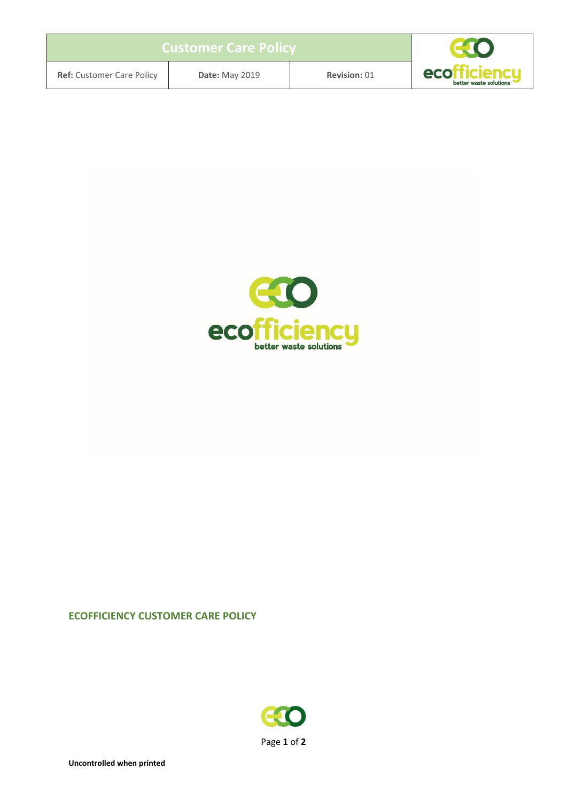| <b>Customer Care Policy</b>      |                       |              |                                                     |
|----------------------------------|-----------------------|--------------|-----------------------------------------------------|
| <b>Ref:</b> Customer Care Policy | <b>Date: May 2019</b> | Revision: 01 | eco <sup>r</sup><br>dendu<br>better waste solutions |



#### **ECOFFICIENCY CUSTOMER CARE POLICY**